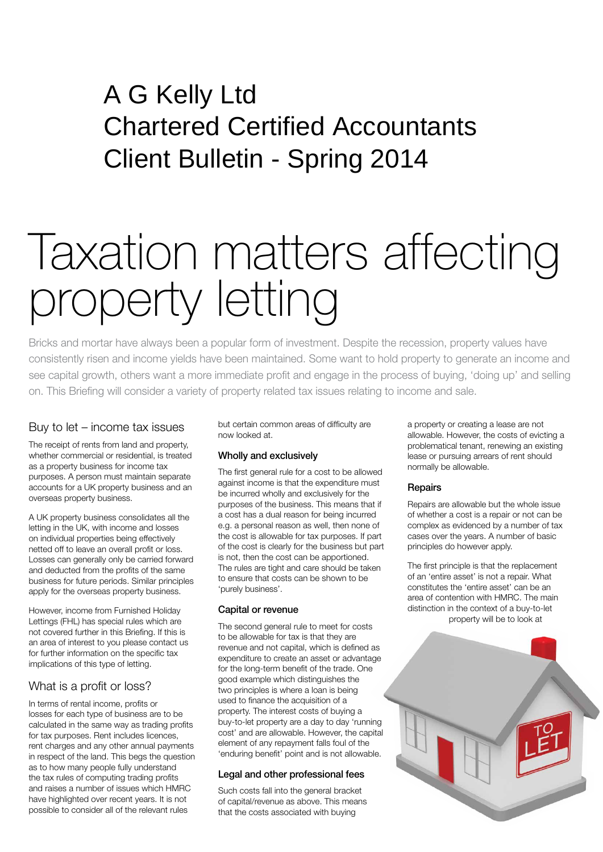# A G Kelly Ltd Chartered Certified Accountants Client Bulletin - Spring 2014

# Taxation matters affecting property letting

Bricks and mortar have always been a popular form of investment. Despite the recession, property values have consistently risen and income yields have been maintained. Some want to hold property to generate an income and see capital growth, others want a more immediate profit and engage in the process of buying, 'doing up' and selling on. This Briefing will consider a variety of property related tax issues relating to income and sale.

### Buy to let – income tax issues

The receipt of rents from land and property, whether commercial or residential, is treated as a property business for income tax purposes. A person must maintain separate accounts for a UK property business and an overseas property business.

A UK property business consolidates all the letting in the UK, with income and losses on individual properties being effectively netted off to leave an overall profit or loss. Losses can generally only be carried forward and deducted from the profits of the same business for future periods. Similar principles apply for the overseas property business.

However, income from Furnished Holiday Lettings (FHL) has special rules which are not covered further in this Briefing. If this is an area of interest to you please contact us for further information on the specific tax implications of this type of letting.

# What is a profit or loss?

In terms of rental income, profits or losses for each type of business are to be calculated in the same way as trading profits for tax purposes. Rent includes licences, rent charges and any other annual payments in respect of the land. This begs the question as to how many people fully understand the tax rules of computing trading profits and raises a number of issues which HMRC have highlighted over recent years. It is not possible to consider all of the relevant rules

but certain common areas of difficulty are now looked at.

#### Wholly and exclusively

The first general rule for a cost to be allowed against income is that the expenditure must be incurred wholly and exclusively for the purposes of the business. This means that if a cost has a dual reason for being incurred e.g. a personal reason as well, then none of the cost is allowable for tax purposes. If part of the cost is clearly for the business but part is not, then the cost can be apportioned. The rules are tight and care should be taken to ensure that costs can be shown to be 'purely business'.

#### Capital or revenue

The second general rule to meet for costs to be allowable for tax is that they are revenue and not capital, which is defined as expenditure to create an asset or advantage for the long-term benefit of the trade. One good example which distinguishes the two principles is where a loan is being used to finance the acquisition of a property. The interest costs of buying a buy-to-let property are a day to day 'running cost' and are allowable. However, the capital element of any repayment falls foul of the 'enduring benefit' point and is not allowable.

#### Legal and other professional fees

Such costs fall into the general bracket of capital/revenue as above. This means that the costs associated with buying

a property or creating a lease are not allowable. However, the costs of evicting a problematical tenant, renewing an existing lease or pursuing arrears of rent should normally be allowable.

#### **Repairs**

Repairs are allowable but the whole issue of whether a cost is a repair or not can be complex as evidenced by a number of tax cases over the years. A number of basic principles do however apply.

The first principle is that the replacement of an 'entire asset' is not a repair. What constitutes the 'entire asset' can be an area of contention with HMRC. The main distinction in the context of a buy-to-let property will be to look at